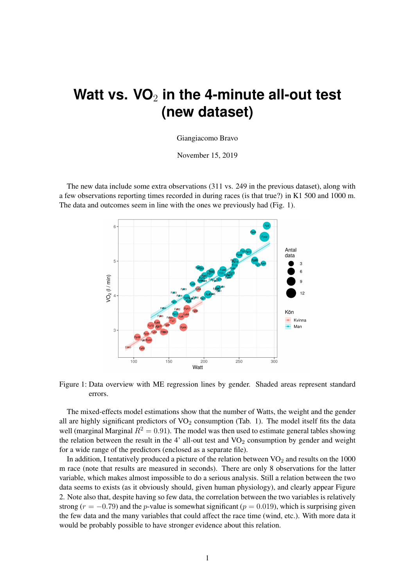## Watt vs. VO<sub>2</sub> in the 4-minute all-out test **(new dataset)**

## Giangiacomo Bravo

November 15, 2019

The new data include some extra observations (311 vs. 249 in the previous dataset), along with a few observations reporting times recorded in during races (is that true?) in K1 500 and 1000 m. The data and outcomes seem in line with the ones we previously had (Fig. 1).



Figure 1: Data overview with ME regression lines by gender. Shaded areas represent standard errors.

The mixed-effects model estimations show that the number of Watts, the weight and the gender all are highly significant predictors of  $VO<sub>2</sub>$  consumption (Tab. 1). The model itself fits the data well (marginal Marginal  $R^2 = 0.91$ ). The model was then used to estimate general tables showing the relation between the result in the 4' all-out test and  $VO<sub>2</sub>$  consumption by gender and weight for a wide range of the predictors (enclosed as a separate file).

In addition, I tentatively produced a picture of the relation between  $VO<sub>2</sub>$  and results on the 1000 m race (note that results are measured in seconds). There are only 8 observations for the latter variable, which makes almost impossible to do a serious analysis. Still a relation between the two data seems to exists (as it obviously should, given human physiology), and clearly appear Figure 2. Note also that, despite having so few data, the correlation between the two variables is relatively strong ( $r = -0.79$ ) and the p-value is somewhat significant ( $p = 0.019$ ), which is surprising given the few data and the many variables that could affect the race time (wind, etc.). With more data it would be probably possible to have stronger evidence about this relation.